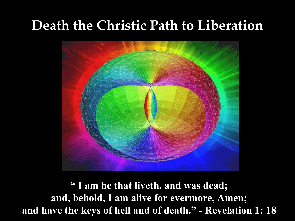## **Death the Christic Path to Liberation**



**" I am he that liveth, and was dead; and, behold, I am alive for evermore, Amen; and have the keys of hell and of death." - Revelation 1: 18**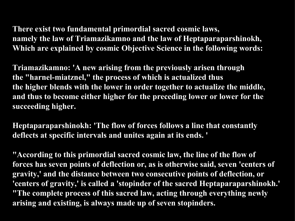**There exist two fundamental primordial sacred cosmic laws, namely the law of Triamazikamno and the law of Heptaparaparshinokh, Which are explained by cosmic Objective Science in the following words:**

**Triamazikamno: 'A new arising from the previously arisen through the "harnel-miatznel," the process of which is actualized thus the higher blends with the lower in order together to actualize the middle, and thus to become either higher for the preceding lower or lower for the succeeding higher.**

**Heptaparaparshinokh: 'The flow of forces follows a line that constantly deflects at specific intervals and unites again at its ends. '**

**"According to this primordial sacred cosmic law, the line of the flow of forces has seven points of deflection or, as is otherwise said, seven 'centers of gravity,' and the distance between two consecutive points of deflection, or 'centers of gravity,' is called a 'stopinder of the sacred Heptaparaparshinokh.' "The complete process of this sacred law, acting through everything newly arising and existing, is always made up of seven stopinders.**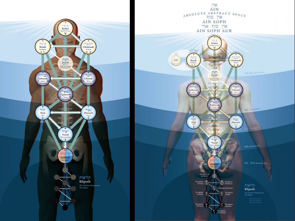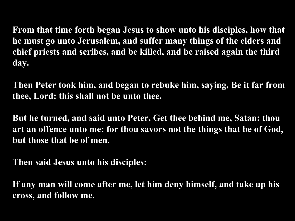**From that time forth began Jesus to show unto his disciples, how that he must go unto Jerusalem, and suffer many things of the elders and chief priests and scribes, and be killed, and be raised again the third day.**

**Then Peter took him, and began to rebuke him, saying, Be it far from thee, Lord: this shall not be unto thee.**

**But he turned, and said unto Peter, Get thee behind me, Satan: thou art an offence unto me: for thou savors not the things that be of God, but those that be of men.**

**Then said Jesus unto his disciples:**

**If any man will come after me, let him deny himself, and take up his cross, and follow me.**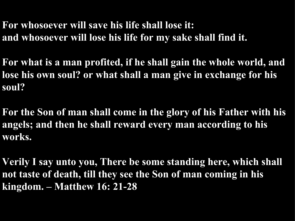- **For whosoever will save his life shall lose it: and whosoever will lose his life for my sake shall find it.**
- **For what is a man profited, if he shall gain the whole world, and lose his own soul? or what shall a man give in exchange for his soul?**
- **For the Son of man shall come in the glory of his Father with his angels; and then he shall reward every man according to his works.**
- **Verily I say unto you, There be some standing here, which shall not taste of death, till they see the Son of man coming in his kingdom. – Matthew 16: 21-28**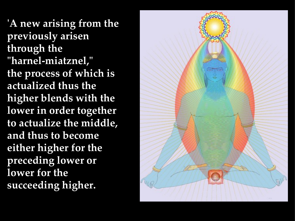**'A new arising from the previously arisen through the "harnel-miatznel," the process of which is actualized thus the higher blends with the lower in order together to actualize the middle, and thus to become either higher for the preceding lower or lower for the succeeding higher.**

![](_page_5_Picture_1.jpeg)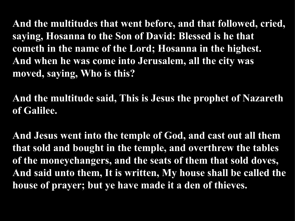**And the multitudes that went before, and that followed, cried, saying, Hosanna to the Son of David: Blessed is he that cometh in the name of the Lord; Hosanna in the highest. And when he was come into Jerusalem, all the city was moved, saying, Who is this?**

**And the multitude said, This is Jesus the prophet of Nazareth of Galilee.**

**And Jesus went into the temple of God, and cast out all them that sold and bought in the temple, and overthrew the tables of the moneychangers, and the seats of them that sold doves, And said unto them, It is written, My house shall be called the house of prayer; but ye have made it a den of thieves.**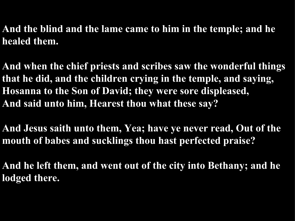**And the blind and the lame came to him in the temple; and he healed them.**

**And when the chief priests and scribes saw the wonderful things that he did, and the children crying in the temple, and saying, Hosanna to the Son of David; they were sore displeased, And said unto him, Hearest thou what these say?** 

**And Jesus saith unto them, Yea; have ye never read, Out of the mouth of babes and sucklings thou hast perfected praise?**

**And he left them, and went out of the city into Bethany; and he lodged there.**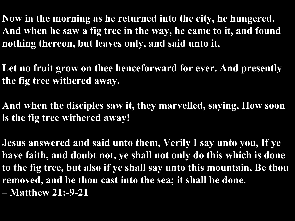**Now in the morning as he returned into the city, he hungered. And when he saw a fig tree in the way, he came to it, and found nothing thereon, but leaves only, and said unto it,** 

**Let no fruit grow on thee henceforward for ever. And presently the fig tree withered away.**

**And when the disciples saw it, they marvelled, saying, How soon is the fig tree withered away!**

**Jesus answered and said unto them, Verily I say unto you, If ye have faith, and doubt not, ye shall not only do this which is done to the fig tree, but also if ye shall say unto this mountain, Be thou removed, and be thou cast into the sea; it shall be done. – Matthew 21:-9-21**